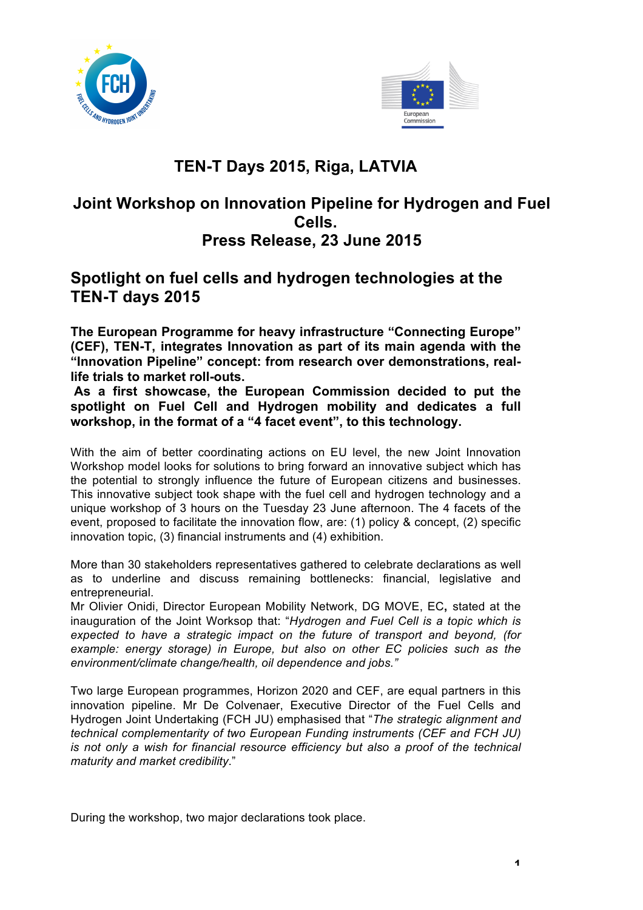



## **TEN-T Days 2015, Riga, LATVIA**

## **Joint Workshop on Innovation Pipeline for Hydrogen and Fuel Cells.**

## **Press Release, 23 June 2015**

## **Spotlight on fuel cells and hydrogen technologies at the TEN-T days 2015**

**The European Programme for heavy infrastructure "Connecting Europe" (CEF), TEN-T, integrates Innovation as part of its main agenda with the "Innovation Pipeline" concept: from research over demonstrations, reallife trials to market roll-outs.**

**As a first showcase, the European Commission decided to put the spotlight on Fuel Cell and Hydrogen mobility and dedicates a full workshop, in the format of a "4 facet event", to this technology.** 

With the aim of better coordinating actions on EU level, the new Joint Innovation Workshop model looks for solutions to bring forward an innovative subject which has the potential to strongly influence the future of European citizens and businesses. This innovative subject took shape with the fuel cell and hydrogen technology and a unique workshop of 3 hours on the Tuesday 23 June afternoon. The 4 facets of the event, proposed to facilitate the innovation flow, are: (1) policy & concept, (2) specific innovation topic, (3) financial instruments and (4) exhibition.

More than 30 stakeholders representatives gathered to celebrate declarations as well as to underline and discuss remaining bottlenecks: financial, legislative and entrepreneurial.

Mr Olivier Onidi, Director European Mobility Network, DG MOVE, EC**,** stated at the inauguration of the Joint Worksop that: "*Hydrogen and Fuel Cell is a topic which is expected to have a strategic impact on the future of transport and beyond, (for example: energy storage) in Europe, but also on other EC policies such as the environment/climate change/health, oil dependence and jobs."*

Two large European programmes, Horizon 2020 and CEF, are equal partners in this innovation pipeline. Mr De Colvenaer, Executive Director of the Fuel Cells and Hydrogen Joint Undertaking (FCH JU) emphasised that "*The strategic alignment and technical complementarity of two European Funding instruments (CEF and FCH JU) is not only a wish for financial resource efficiency but also a proof of the technical maturity and market credibility*."

During the workshop, two major declarations took place.